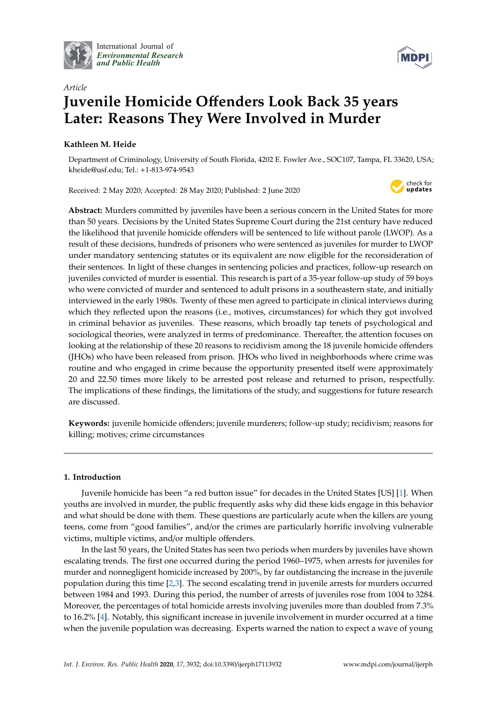

International Journal of *[Environmental Research](http://www.mdpi.com/journal/ijerph) and Public Health*



# *Article* **Juvenile Homicide O**ff**enders Look Back 35 years Later: Reasons They Were Involved in Murder**

# **Kathleen M. Heide**

Department of Criminology, University of South Florida, 4202 E. Fowler Ave., SOC107, Tampa, FL 33620, USA; kheide@usf.edu; Tel.: +1-813-974-9543

Received: 2 May 2020; Accepted: 28 May 2020; Published: 2 June 2020



**Abstract:** Murders committed by juveniles have been a serious concern in the United States for more than 50 years. Decisions by the United States Supreme Court during the 21st century have reduced the likelihood that juvenile homicide offenders will be sentenced to life without parole (LWOP). As a result of these decisions, hundreds of prisoners who were sentenced as juveniles for murder to LWOP under mandatory sentencing statutes or its equivalent are now eligible for the reconsideration of their sentences. In light of these changes in sentencing policies and practices, follow-up research on juveniles convicted of murder is essential. This research is part of a 35-year follow-up study of 59 boys who were convicted of murder and sentenced to adult prisons in a southeastern state, and initially interviewed in the early 1980s. Twenty of these men agreed to participate in clinical interviews during which they reflected upon the reasons (i.e., motives, circumstances) for which they got involved in criminal behavior as juveniles. These reasons, which broadly tap tenets of psychological and sociological theories, were analyzed in terms of predominance. Thereafter, the attention focuses on looking at the relationship of these 20 reasons to recidivism among the 18 juvenile homicide offenders (JHOs) who have been released from prison. JHOs who lived in neighborhoods where crime was routine and who engaged in crime because the opportunity presented itself were approximately 20 and 22.50 times more likely to be arrested post release and returned to prison, respectfully. The implications of these findings, the limitations of the study, and suggestions for future research are discussed.

**Keywords:** juvenile homicide offenders; juvenile murderers; follow-up study; recidivism; reasons for killing; motives; crime circumstances

# **1. Introduction**

Juvenile homicide has been "a red button issue" for decades in the United States [US] [\[1\]](#page-13-0). When youths are involved in murder, the public frequently asks why did these kids engage in this behavior and what should be done with them. These questions are particularly acute when the killers are young teens, come from "good families", and/or the crimes are particularly horrific involving vulnerable victims, multiple victims, and/or multiple offenders.

In the last 50 years, the United States has seen two periods when murders by juveniles have shown escalating trends. The first one occurred during the period 1960–1975, when arrests for juveniles for murder and nonnegligent homicide increased by 200%, by far outdistancing the increase in the juvenile population during this time [\[2](#page-13-1)[,3\]](#page-13-2). The second escalating trend in juvenile arrests for murders occurred between 1984 and 1993. During this period, the number of arrests of juveniles rose from 1004 to 3284. Moreover, the percentages of total homicide arrests involving juveniles more than doubled from 7.3% to 16.2% [\[4\]](#page-13-3). Notably, this significant increase in juvenile involvement in murder occurred at a time when the juvenile population was decreasing. Experts warned the nation to expect a wave of young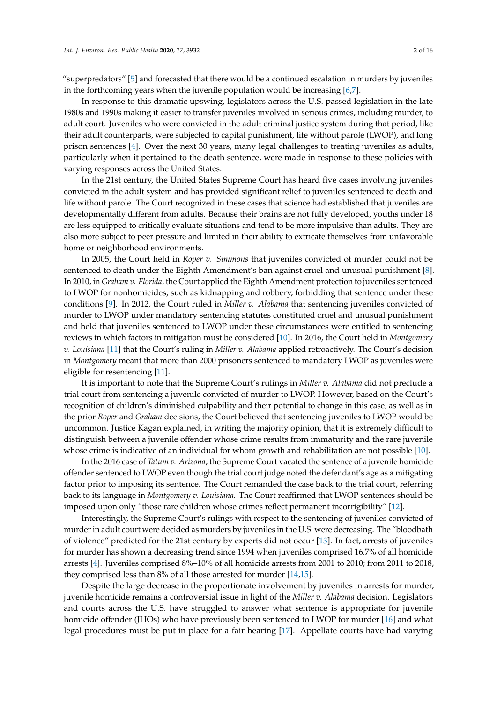"superpredators" [\[5\]](#page-13-4) and forecasted that there would be a continued escalation in murders by juveniles in the forthcoming years when the juvenile population would be increasing [\[6,](#page-13-5)[7\]](#page-13-6).

In response to this dramatic upswing, legislators across the U.S. passed legislation in the late 1980s and 1990s making it easier to transfer juveniles involved in serious crimes, including murder, to adult court. Juveniles who were convicted in the adult criminal justice system during that period, like their adult counterparts, were subjected to capital punishment, life without parole (LWOP), and long prison sentences [\[4\]](#page-13-3). Over the next 30 years, many legal challenges to treating juveniles as adults, particularly when it pertained to the death sentence, were made in response to these policies with varying responses across the United States.

In the 21st century, the United States Supreme Court has heard five cases involving juveniles convicted in the adult system and has provided significant relief to juveniles sentenced to death and life without parole. The Court recognized in these cases that science had established that juveniles are developmentally different from adults. Because their brains are not fully developed, youths under 18 are less equipped to critically evaluate situations and tend to be more impulsive than adults. They are also more subject to peer pressure and limited in their ability to extricate themselves from unfavorable home or neighborhood environments.

In 2005, the Court held in *Roper v. Simmons* that juveniles convicted of murder could not be sentenced to death under the Eighth Amendment's ban against cruel and unusual punishment [\[8\]](#page-13-7). In 2010, in *Graham v. Florida*, the Court applied the Eighth Amendment protection to juveniles sentenced to LWOP for nonhomicides, such as kidnapping and robbery, forbidding that sentence under these conditions [\[9\]](#page-13-8). In 2012, the Court ruled in *Miller v. Alabama* that sentencing juveniles convicted of murder to LWOP under mandatory sentencing statutes constituted cruel and unusual punishment and held that juveniles sentenced to LWOP under these circumstances were entitled to sentencing reviews in which factors in mitigation must be considered [\[10\]](#page-13-9). In 2016, the Court held in *Montgomery v. Louisiana* [\[11\]](#page-13-10) that the Court's ruling in *Miller v. Alabama* applied retroactively. The Court's decision in *Montgomery* meant that more than 2000 prisoners sentenced to mandatory LWOP as juveniles were eligible for resentencing [\[11\]](#page-13-10).

It is important to note that the Supreme Court's rulings in *Miller v. Alabama* did not preclude a trial court from sentencing a juvenile convicted of murder to LWOP. However, based on the Court's recognition of children's diminished culpability and their potential to change in this case, as well as in the prior *Roper* and *Graham* decisions, the Court believed that sentencing juveniles to LWOP would be uncommon. Justice Kagan explained, in writing the majority opinion, that it is extremely difficult to distinguish between a juvenile offender whose crime results from immaturity and the rare juvenile whose crime is indicative of an individual for whom growth and rehabilitation are not possible [\[10\]](#page-13-9).

In the 2016 case of *Tatum v. Arizona*, the Supreme Court vacated the sentence of a juvenile homicide offender sentenced to LWOP even though the trial court judge noted the defendant's age as a mitigating factor prior to imposing its sentence. The Court remanded the case back to the trial court, referring back to its language in *Montgomery v. Louisiana.* The Court reaffirmed that LWOP sentences should be imposed upon only "those rare children whose crimes reflect permanent incorrigibility" [\[12\]](#page-13-11).

Interestingly, the Supreme Court's rulings with respect to the sentencing of juveniles convicted of murder in adult court were decided as murders by juveniles in the U.S. were decreasing. The "bloodbath of violence" predicted for the 21st century by experts did not occur [\[13\]](#page-13-12). In fact, arrests of juveniles for murder has shown a decreasing trend since 1994 when juveniles comprised 16.7% of all homicide arrests [\[4\]](#page-13-3). Juveniles comprised 8%–10% of all homicide arrests from 2001 to 2010; from 2011 to 2018, they comprised less than 8% of all those arrested for murder [\[14](#page-13-13)[,15\]](#page-13-14).

Despite the large decrease in the proportionate involvement by juveniles in arrests for murder, juvenile homicide remains a controversial issue in light of the *Miller v. Alabama* decision. Legislators and courts across the U.S. have struggled to answer what sentence is appropriate for juvenile homicide offender (JHOs) who have previously been sentenced to LWOP for murder [\[16\]](#page-13-15) and what legal procedures must be put in place for a fair hearing [\[17\]](#page-13-16). Appellate courts have had varying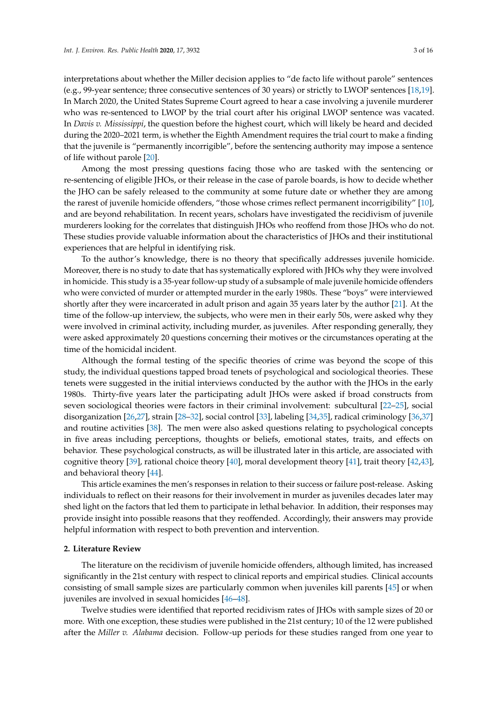interpretations about whether the Miller decision applies to "de facto life without parole" sentences (e.g., 99-year sentence; three consecutive sentences of 30 years) or strictly to LWOP sentences [\[18,](#page-13-17)[19\]](#page-13-18). In March 2020, the United States Supreme Court agreed to hear a case involving a juvenile murderer who was re-sentenced to LWOP by the trial court after his original LWOP sentence was vacated. In *Davis v. Mississippi*, the question before the highest court, which will likely be heard and decided during the 2020–2021 term, is whether the Eighth Amendment requires the trial court to make a finding that the juvenile is "permanently incorrigible", before the sentencing authority may impose a sentence of life without parole [\[20\]](#page-13-19).

Among the most pressing questions facing those who are tasked with the sentencing or re-sentencing of eligible JHOs, or their release in the case of parole boards, is how to decide whether the JHO can be safely released to the community at some future date or whether they are among the rarest of juvenile homicide offenders, "those whose crimes reflect permanent incorrigibility" [\[10\]](#page-13-9), and are beyond rehabilitation. In recent years, scholars have investigated the recidivism of juvenile murderers looking for the correlates that distinguish JHOs who reoffend from those JHOs who do not. These studies provide valuable information about the characteristics of JHOs and their institutional experiences that are helpful in identifying risk.

To the author's knowledge, there is no theory that specifically addresses juvenile homicide. Moreover, there is no study to date that has systematically explored with JHOs why they were involved in homicide. This study is a 35-year follow-up study of a subsample of male juvenile homicide offenders who were convicted of murder or attempted murder in the early 1980s. These "boys" were interviewed shortly after they were incarcerated in adult prison and again 35 years later by the author [\[21\]](#page-14-0). At the time of the follow-up interview, the subjects, who were men in their early 50s, were asked why they were involved in criminal activity, including murder, as juveniles. After responding generally, they were asked approximately 20 questions concerning their motives or the circumstances operating at the time of the homicidal incident.

Although the formal testing of the specific theories of crime was beyond the scope of this study, the individual questions tapped broad tenets of psychological and sociological theories. These tenets were suggested in the initial interviews conducted by the author with the JHOs in the early 1980s. Thirty-five years later the participating adult JHOs were asked if broad constructs from seven sociological theories were factors in their criminal involvement: subcultural [\[22–](#page-14-1)[25\]](#page-14-2), social disorganization [\[26](#page-14-3)[,27\]](#page-14-4), strain [\[28](#page-14-5)[–32\]](#page-14-6), social control [\[33\]](#page-14-7), labeling [\[34](#page-14-8)[,35\]](#page-14-9), radical criminology [\[36](#page-14-10)[,37\]](#page-14-11) and routine activities [\[38\]](#page-14-12). The men were also asked questions relating to psychological concepts in five areas including perceptions, thoughts or beliefs, emotional states, traits, and effects on behavior. These psychological constructs, as will be illustrated later in this article, are associated with cognitive theory [\[39\]](#page-14-13), rational choice theory [\[40\]](#page-14-14), moral development theory [\[41\]](#page-14-15), trait theory [\[42,](#page-14-16)[43\]](#page-14-17), and behavioral theory [\[44\]](#page-14-18).

This article examines the men's responses in relation to their success or failure post-release. Asking individuals to reflect on their reasons for their involvement in murder as juveniles decades later may shed light on the factors that led them to participate in lethal behavior. In addition, their responses may provide insight into possible reasons that they reoffended. Accordingly, their answers may provide helpful information with respect to both prevention and intervention.

#### **2. Literature Review**

The literature on the recidivism of juvenile homicide offenders, although limited, has increased significantly in the 21st century with respect to clinical reports and empirical studies. Clinical accounts consisting of small sample sizes are particularly common when juveniles kill parents [\[45\]](#page-14-19) or when juveniles are involved in sexual homicides [\[46–](#page-14-20)[48\]](#page-14-21).

Twelve studies were identified that reported recidivism rates of JHOs with sample sizes of 20 or more. With one exception, these studies were published in the 21st century; 10 of the 12 were published after the *Miller v. Alabama* decision. Follow-up periods for these studies ranged from one year to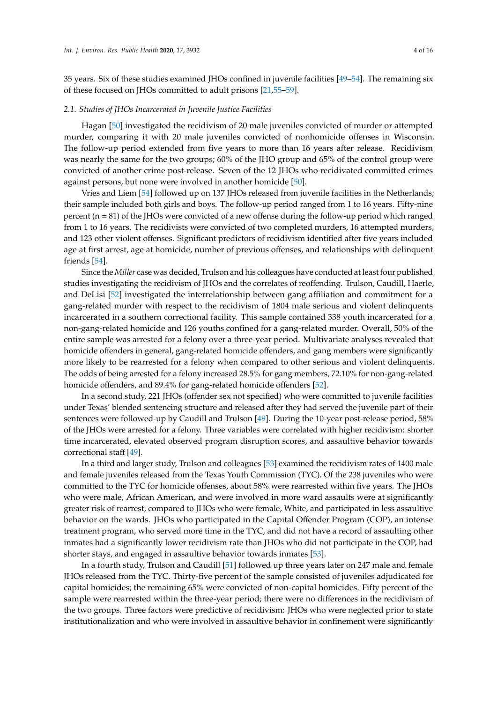35 years. Six of these studies examined JHOs confined in juvenile facilities [\[49](#page-14-22)[–54\]](#page-14-23). The remaining six of these focused on JHOs committed to adult prisons [\[21,](#page-14-0)[55–](#page-15-0)[59\]](#page-15-1).

#### *2.1. Studies of JHOs Incarcerated in Juvenile Justice Facilities*

Hagan [\[50\]](#page-14-24) investigated the recidivism of 20 male juveniles convicted of murder or attempted murder, comparing it with 20 male juveniles convicted of nonhomicide offenses in Wisconsin. The follow-up period extended from five years to more than 16 years after release. Recidivism was nearly the same for the two groups; 60% of the JHO group and 65% of the control group were convicted of another crime post-release. Seven of the 12 JHOs who recidivated committed crimes against persons, but none were involved in another homicide [\[50\]](#page-14-24).

Vries and Liem [\[54\]](#page-14-23) followed up on 137 JHOs released from juvenile facilities in the Netherlands; their sample included both girls and boys. The follow-up period ranged from 1 to 16 years. Fifty-nine percent (n = 81) of the JHOs were convicted of a new offense during the follow-up period which ranged from 1 to 16 years. The recidivists were convicted of two completed murders, 16 attempted murders, and 123 other violent offenses. Significant predictors of recidivism identified after five years included age at first arrest, age at homicide, number of previous offenses, and relationships with delinquent friends [\[54\]](#page-14-23).

Since the *Miller* case was decided, Trulson and his colleagues have conducted at least four published studies investigating the recidivism of JHOs and the correlates of reoffending. Trulson, Caudill, Haerle, and DeLisi [\[52\]](#page-14-25) investigated the interrelationship between gang affiliation and commitment for a gang-related murder with respect to the recidivism of 1804 male serious and violent delinquents incarcerated in a southern correctional facility. This sample contained 338 youth incarcerated for a non-gang-related homicide and 126 youths confined for a gang-related murder. Overall, 50% of the entire sample was arrested for a felony over a three-year period. Multivariate analyses revealed that homicide offenders in general, gang-related homicide offenders, and gang members were significantly more likely to be rearrested for a felony when compared to other serious and violent delinquents. The odds of being arrested for a felony increased 28.5% for gang members, 72.10% for non-gang-related homicide offenders, and 89.4% for gang-related homicide offenders [\[52\]](#page-14-25).

In a second study, 221 JHOs (offender sex not specified) who were committed to juvenile facilities under Texas' blended sentencing structure and released after they had served the juvenile part of their sentences were followed-up by Caudill and Trulson [\[49\]](#page-14-22). During the 10-year post-release period, 58% of the JHOs were arrested for a felony. Three variables were correlated with higher recidivism: shorter time incarcerated, elevated observed program disruption scores, and assaultive behavior towards correctional staff [\[49\]](#page-14-22).

In a third and larger study, Trulson and colleagues [\[53\]](#page-14-26) examined the recidivism rates of 1400 male and female juveniles released from the Texas Youth Commission (TYC). Of the 238 juveniles who were committed to the TYC for homicide offenses, about 58% were rearrested within five years. The JHOs who were male, African American, and were involved in more ward assaults were at significantly greater risk of rearrest, compared to JHOs who were female, White, and participated in less assaultive behavior on the wards. JHOs who participated in the Capital Offender Program (COP), an intense treatment program, who served more time in the TYC, and did not have a record of assaulting other inmates had a significantly lower recidivism rate than JHOs who did not participate in the COP, had shorter stays, and engaged in assaultive behavior towards inmates [\[53\]](#page-14-26).

In a fourth study, Trulson and Caudill [\[51\]](#page-14-27) followed up three years later on 247 male and female JHOs released from the TYC. Thirty-five percent of the sample consisted of juveniles adjudicated for capital homicides; the remaining 65% were convicted of non-capital homicides. Fifty percent of the sample were rearrested within the three-year period; there were no differences in the recidivism of the two groups. Three factors were predictive of recidivism: JHOs who were neglected prior to state institutionalization and who were involved in assaultive behavior in confinement were significantly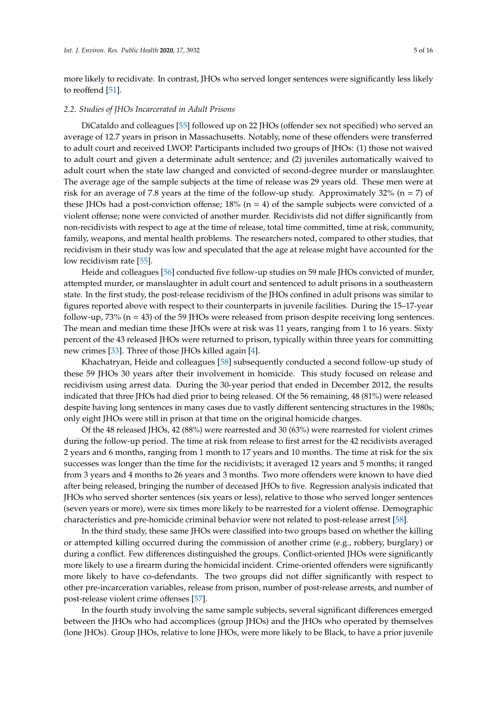more likely to recidivate. In contrast, JHOs who served longer sentences were significantly less likely to reoffend [\[51\]](#page-14-27).

#### *2.2. Studies of JHOs Incarcerated in Adult Prisons*

DiCataldo and colleagues [\[55\]](#page-15-0) followed up on 22 JHOs (offender sex not specified) who served an average of 12.7 years in prison in Massachusetts. Notably, none of these offenders were transferred to adult court and received LWOP. Participants included two groups of JHOs: (1) those not waived to adult court and given a determinate adult sentence; and (2) juveniles automatically waived to adult court when the state law changed and convicted of second-degree murder or manslaughter. The average age of the sample subjects at the time of release was 29 years old. These men were at risk for an average of 7.8 years at the time of the follow-up study. Approximately  $32\%$  (n = 7) of these JHOs had a post-conviction offense;  $18%$  (n = 4) of the sample subjects were convicted of a violent offense; none were convicted of another murder. Recidivists did not differ significantly from non-recidivists with respect to age at the time of release, total time committed, time at risk, community, family, weapons, and mental health problems. The researchers noted, compared to other studies, that recidivism in their study was low and speculated that the age at release might have accounted for the low recidivism rate [\[55\]](#page-15-0).

Heide and colleagues [\[56\]](#page-15-2) conducted five follow-up studies on 59 male JHOs convicted of murder, attempted murder, or manslaughter in adult court and sentenced to adult prisons in a southeastern state. In the first study, the post-release recidivism of the JHOs confined in adult prisons was similar to figures reported above with respect to their counterparts in juvenile facilities. During the 15–17-year follow-up, 73% (n = 43) of the 59 JHOs were released from prison despite receiving long sentences. The mean and median time these JHOs were at risk was 11 years, ranging from 1 to 16 years. Sixty percent of the 43 released JHOs were returned to prison, typically within three years for committing new crimes [\[33\]](#page-14-7). Three of those JHOs killed again [\[4\]](#page-13-3).

Khachatryan, Heide and colleagues [\[58\]](#page-15-3) subsequently conducted a second follow-up study of these 59 JHOs 30 years after their involvement in homicide. This study focused on release and recidivism using arrest data. During the 30-year period that ended in December 2012, the results indicated that three JHOs had died prior to being released. Of the 56 remaining, 48 (81%) were released despite having long sentences in many cases due to vastly different sentencing structures in the 1980s; only eight JHOs were still in prison at that time on the original homicide charges.

Of the 48 released JHOs, 42 (88%) were rearrested and 30 (63%) were rearrested for violent crimes during the follow-up period. The time at risk from release to first arrest for the 42 recidivists averaged 2 years and 6 months, ranging from 1 month to 17 years and 10 months. The time at risk for the six successes was longer than the time for the recidivists; it averaged 12 years and 5 months; it ranged from 3 years and 4 months to 26 years and 3 months. Two more offenders were known to have died after being released, bringing the number of deceased JHOs to five. Regression analysis indicated that JHOs who served shorter sentences (six years or less), relative to those who served longer sentences (seven years or more), were six times more likely to be rearrested for a violent offense. Demographic characteristics and pre-homicide criminal behavior were not related to post-release arrest [\[58\]](#page-15-3).

In the third study, these same JHOs were classified into two groups based on whether the killing or attempted killing occurred during the commission of another crime (e.g., robbery, burglary) or during a conflict. Few differences distinguished the groups. Conflict-oriented JHOs were significantly more likely to use a firearm during the homicidal incident. Crime-oriented offenders were significantly more likely to have co-defendants. The two groups did not differ significantly with respect to other pre-incarceration variables, release from prison, number of post-release arrests, and number of post-release violent crime offenses [\[57\]](#page-15-4).

In the fourth study involving the same sample subjects, several significant differences emerged between the JHOs who had accomplices (group JHOs) and the JHOs who operated by themselves (lone JHOs). Group JHOs, relative to lone JHOs, were more likely to be Black, to have a prior juvenile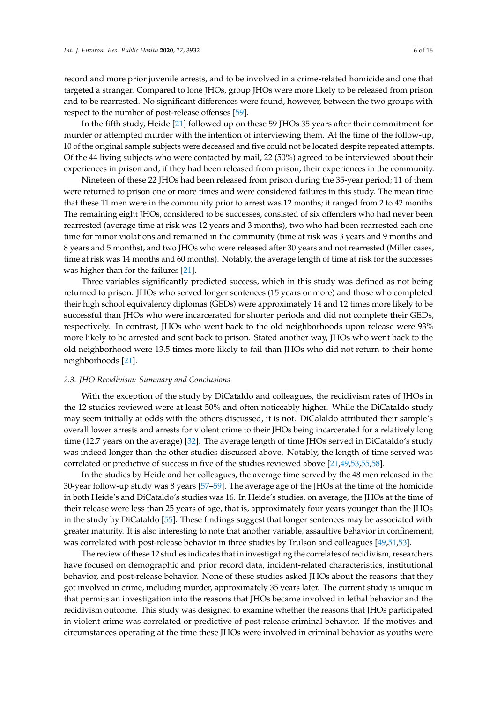record and more prior juvenile arrests, and to be involved in a crime-related homicide and one that targeted a stranger. Compared to lone JHOs, group JHOs were more likely to be released from prison and to be rearrested. No significant differences were found, however, between the two groups with respect to the number of post-release offenses [\[59\]](#page-15-1).

In the fifth study, Heide [\[21\]](#page-14-0) followed up on these 59 JHOs 35 years after their commitment for murder or attempted murder with the intention of interviewing them. At the time of the follow-up, 10 of the original sample subjects were deceased and five could not be located despite repeated attempts. Of the 44 living subjects who were contacted by mail, 22 (50%) agreed to be interviewed about their experiences in prison and, if they had been released from prison, their experiences in the community.

Nineteen of these 22 JHOs had been released from prison during the 35-year period; 11 of them were returned to prison one or more times and were considered failures in this study. The mean time that these 11 men were in the community prior to arrest was 12 months; it ranged from 2 to 42 months. The remaining eight JHOs, considered to be successes, consisted of six offenders who had never been rearrested (average time at risk was 12 years and 3 months), two who had been rearrested each one time for minor violations and remained in the community (time at risk was 3 years and 9 months and 8 years and 5 months), and two JHOs who were released after 30 years and not rearrested (Miller cases, time at risk was 14 months and 60 months). Notably, the average length of time at risk for the successes was higher than for the failures [\[21\]](#page-14-0).

Three variables significantly predicted success, which in this study was defined as not being returned to prison. JHOs who served longer sentences (15 years or more) and those who completed their high school equivalency diplomas (GEDs) were approximately 14 and 12 times more likely to be successful than JHOs who were incarcerated for shorter periods and did not complete their GEDs, respectively. In contrast, JHOs who went back to the old neighborhoods upon release were 93% more likely to be arrested and sent back to prison. Stated another way, JHOs who went back to the old neighborhood were 13.5 times more likely to fail than JHOs who did not return to their home neighborhoods [\[21\]](#page-14-0).

#### *2.3. JHO Recidivism: Summary and Conclusions*

With the exception of the study by DiCataldo and colleagues, the recidivism rates of JHOs in the 12 studies reviewed were at least 50% and often noticeably higher. While the DiCataldo study may seem initially at odds with the others discussed, it is not. DiCalaldo attributed their sample's overall lower arrests and arrests for violent crime to their JHOs being incarcerated for a relatively long time (12.7 years on the average) [\[32\]](#page-14-6). The average length of time JHOs served in DiCataldo's study was indeed longer than the other studies discussed above. Notably, the length of time served was correlated or predictive of success in five of the studies reviewed above [\[21](#page-14-0)[,49](#page-14-22)[,53](#page-14-26)[,55](#page-15-0)[,58\]](#page-15-3).

In the studies by Heide and her colleagues, the average time served by the 48 men released in the 30-year follow-up study was 8 years [\[57–](#page-15-4)[59\]](#page-15-1). The average age of the JHOs at the time of the homicide in both Heide's and DiCataldo's studies was 16. In Heide's studies, on average, the JHOs at the time of their release were less than 25 years of age, that is, approximately four years younger than the JHOs in the study by DiCataldo [\[55\]](#page-15-0). These findings suggest that longer sentences may be associated with greater maturity. It is also interesting to note that another variable, assaultive behavior in confinement, was correlated with post-release behavior in three studies by Trulson and colleagues [\[49,](#page-14-22)[51](#page-14-27)[,53\]](#page-14-26).

The review of these 12 studies indicates that in investigating the correlates of recidivism, researchers have focused on demographic and prior record data, incident-related characteristics, institutional behavior, and post-release behavior. None of these studies asked JHOs about the reasons that they got involved in crime, including murder, approximately 35 years later. The current study is unique in that permits an investigation into the reasons that JHOs became involved in lethal behavior and the recidivism outcome. This study was designed to examine whether the reasons that JHOs participated in violent crime was correlated or predictive of post-release criminal behavior. If the motives and circumstances operating at the time these JHOs were involved in criminal behavior as youths were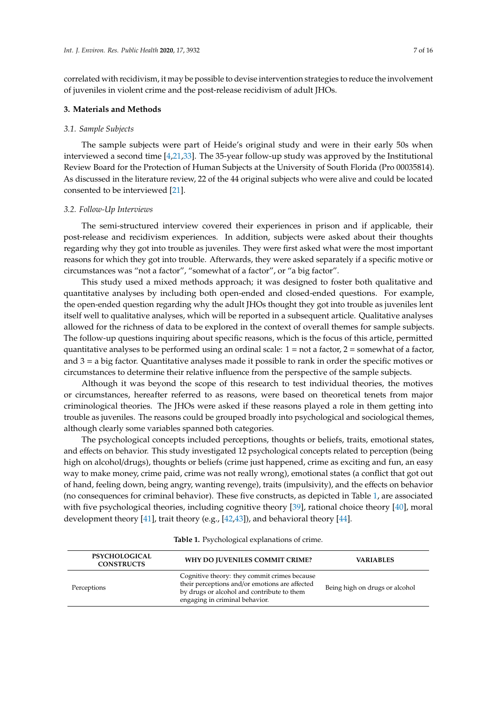correlated with recidivism, it may be possible to devise intervention strategies to reduce the involvement of juveniles in violent crime and the post-release recidivism of adult JHOs.

#### **3. Materials and Methods**

## *3.1. Sample Subjects*

The sample subjects were part of Heide's original study and were in their early 50s when interviewed a second time [\[4,](#page-13-3)[21,](#page-14-0)[33\]](#page-14-7). The 35-year follow-up study was approved by the Institutional Review Board for the Protection of Human Subjects at the University of South Florida (Pro 00035814). As discussed in the literature review, 22 of the 44 original subjects who were alive and could be located consented to be interviewed [\[21\]](#page-14-0).

#### *3.2. Follow-Up Interviews*

The semi-structured interview covered their experiences in prison and if applicable, their post-release and recidivism experiences. In addition, subjects were asked about their thoughts regarding why they got into trouble as juveniles. They were first asked what were the most important reasons for which they got into trouble. Afterwards, they were asked separately if a specific motive or circumstances was "not a factor", "somewhat of a factor", or "a big factor".

This study used a mixed methods approach; it was designed to foster both qualitative and quantitative analyses by including both open-ended and closed-ended questions. For example, the open-ended question regarding why the adult JHOs thought they got into trouble as juveniles lent itself well to qualitative analyses, which will be reported in a subsequent article. Qualitative analyses allowed for the richness of data to be explored in the context of overall themes for sample subjects. The follow-up questions inquiring about specific reasons, which is the focus of this article, permitted quantitative analyses to be performed using an ordinal scale:  $1 =$  not a factor,  $2 =$  somewhat of a factor, and 3 = a big factor. Quantitative analyses made it possible to rank in order the specific motives or circumstances to determine their relative influence from the perspective of the sample subjects.

Although it was beyond the scope of this research to test individual theories, the motives or circumstances, hereafter referred to as reasons, were based on theoretical tenets from major criminological theories. The JHOs were asked if these reasons played a role in them getting into trouble as juveniles. The reasons could be grouped broadly into psychological and sociological themes, although clearly some variables spanned both categories.

The psychological concepts included perceptions, thoughts or beliefs, traits, emotional states, and effects on behavior. This study investigated 12 psychological concepts related to perception (being high on alcohol/drugs), thoughts or beliefs (crime just happened, crime as exciting and fun, an easy way to make money, crime paid, crime was not really wrong), emotional states (a conflict that got out of hand, feeling down, being angry, wanting revenge), traits (impulsivity), and the effects on behavior (no consequences for criminal behavior). These five constructs, as depicted in Table [1,](#page-7-0) are associated with five psychological theories, including cognitive theory [\[39\]](#page-14-13), rational choice theory [\[40\]](#page-14-14), moral development theory  $[41]$ , trait theory (e.g.,  $[42,43]$  $[42,43]$ ), and behavioral theory  $[44]$ .

| <b>PSYCHOLOGICAL</b><br><b>CONSTRUCTS</b> | WHY DO JUVENILES COMMIT CRIME?                                                                                                                                                 | <b>VARIABLES</b>               |
|-------------------------------------------|--------------------------------------------------------------------------------------------------------------------------------------------------------------------------------|--------------------------------|
| Perceptions                               | Cognitive theory: they commit crimes because<br>their perceptions and/or emotions are affected<br>by drugs or alcohol and contribute to them<br>engaging in criminal behavior. | Being high on drugs or alcohol |

|  |  |  |  | <b>Table 1.</b> Psychological explanations of crime. |  |  |
|--|--|--|--|------------------------------------------------------|--|--|
|--|--|--|--|------------------------------------------------------|--|--|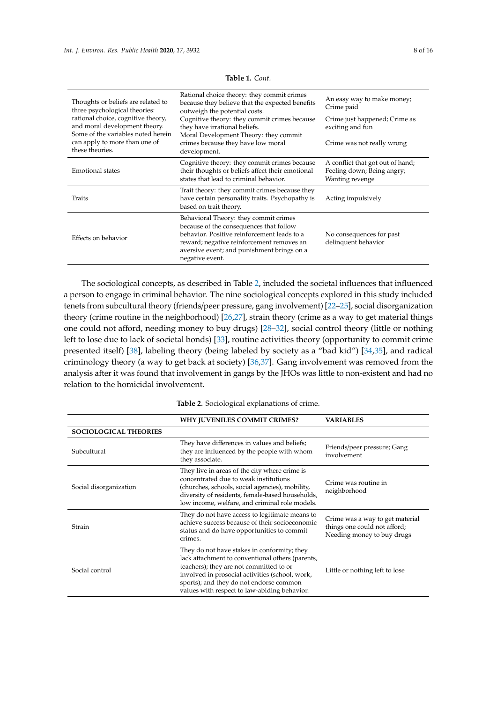<span id="page-7-0"></span>

| Thoughts or beliefs are related to<br>three psychological theories:<br>rational choice, cognitive theory,<br>and moral development theory.<br>Some of the variables noted herein | Rational choice theory: they commit crimes<br>because they believe that the expected benefits<br>outweigh the potential costs.                                                                                                                | An easy way to make money;<br>Crime paid                                          |  |  |
|----------------------------------------------------------------------------------------------------------------------------------------------------------------------------------|-----------------------------------------------------------------------------------------------------------------------------------------------------------------------------------------------------------------------------------------------|-----------------------------------------------------------------------------------|--|--|
|                                                                                                                                                                                  | Cognitive theory: they commit crimes because<br>they have irrational beliefs.<br>Moral Development Theory: they commit                                                                                                                        | Crime just happened; Crime as<br>exciting and fun                                 |  |  |
| can apply to more than one of<br>these theories.                                                                                                                                 | crimes because they have low moral<br>development.                                                                                                                                                                                            | Crime was not really wrong                                                        |  |  |
| <b>Emotional states</b>                                                                                                                                                          | Cognitive theory: they commit crimes because<br>their thoughts or beliefs affect their emotional<br>states that lead to criminal behavior.                                                                                                    | A conflict that got out of hand;<br>Feeling down; Being angry;<br>Wanting revenge |  |  |
| Traits                                                                                                                                                                           | Trait theory: they commit crimes because they<br>have certain personality traits. Psychopathy is<br>based on trait theory.                                                                                                                    | Acting impulsively                                                                |  |  |
| Effects on behavior                                                                                                                                                              | Behavioral Theory: they commit crimes<br>because of the consequences that follow<br>behavior. Positive reinforcement leads to a<br>reward; negative reinforcement removes an<br>aversive event; and punishment brings on a<br>negative event. | No consequences for past<br>delinquent behavior                                   |  |  |

**Table 1.** *Cont.*

The sociological concepts, as described in Table [2,](#page-8-0) included the societal influences that influenced a person to engage in criminal behavior. The nine sociological concepts explored in this study included tenets from subcultural theory (friends/peer pressure, gang involvement) [\[22](#page-14-1)[–25\]](#page-14-2), social disorganization theory (crime routine in the neighborhood) [\[26,](#page-14-3)[27\]](#page-14-4), strain theory (crime as a way to get material things one could not afford, needing money to buy drugs) [\[28](#page-14-5)[–32\]](#page-14-6), social control theory (little or nothing left to lose due to lack of societal bonds) [\[33\]](#page-14-7), routine activities theory (opportunity to commit crime presented itself) [\[38\]](#page-14-12), labeling theory (being labeled by society as a "bad kid") [\[34,](#page-14-8)[35\]](#page-14-9), and radical criminology theory (a way to get back at society) [\[36](#page-14-10)[,37\]](#page-14-11). Gang involvement was removed from the analysis after it was found that involvement in gangs by the JHOs was little to non-existent and had no relation to the homicidal involvement.

|                              | WHY JUVENILES COMMIT CRIMES?                                                                                                                                                                                                                                                             | <b>VARIABLES</b>                                                                              |  |
|------------------------------|------------------------------------------------------------------------------------------------------------------------------------------------------------------------------------------------------------------------------------------------------------------------------------------|-----------------------------------------------------------------------------------------------|--|
| <b>SOCIOLOGICAL THEORIES</b> |                                                                                                                                                                                                                                                                                          |                                                                                               |  |
| Subcultural                  | They have differences in values and beliefs;<br>they are influenced by the people with whom<br>they associate.                                                                                                                                                                           | Friends/peer pressure; Gang<br>involvement                                                    |  |
| Social disorganization       | They live in areas of the city where crime is<br>concentrated due to weak institutions<br>(churches, schools, social agencies), mobility,<br>diversity of residents, female-based households,<br>low income, welfare, and criminal role models.                                          | Crime was routine in<br>neighborhood                                                          |  |
| Strain                       | They do not have access to legitimate means to<br>achieve success because of their socioeconomic<br>status and do have opportunities to commit<br>crimes.                                                                                                                                | Crime was a way to get material<br>things one could not afford;<br>Needing money to buy drugs |  |
| Social control               | They do not have stakes in conformity; they<br>lack attachment to conventional others (parents,<br>teachers); they are not committed to or<br>involved in prosocial activities (school, work,<br>sports); and they do not endorse common<br>values with respect to law-abiding behavior. | Little or nothing left to lose                                                                |  |

**Table 2.** Sociological explanations of crime.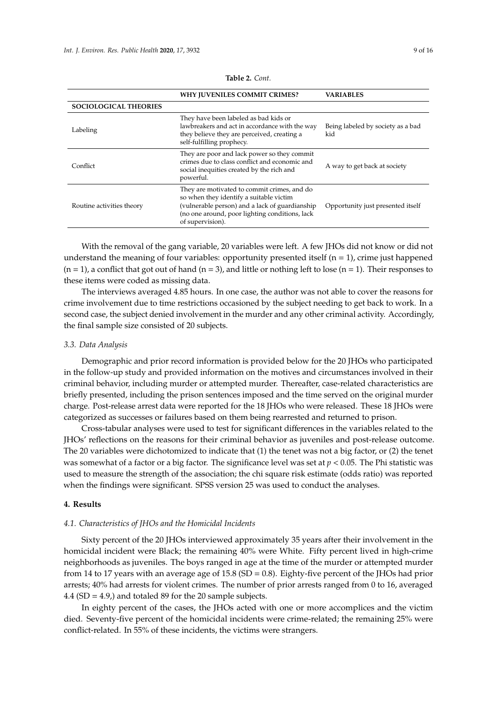<span id="page-8-0"></span>

|                              | WHY JUVENILES COMMIT CRIMES?                                                                                                                                                                                   | <b>VARIABLES</b>                         |  |
|------------------------------|----------------------------------------------------------------------------------------------------------------------------------------------------------------------------------------------------------------|------------------------------------------|--|
| <b>SOCIOLOGICAL THEORIES</b> |                                                                                                                                                                                                                |                                          |  |
| Labeling                     | They have been labeled as bad kids or<br>lawbreakers and act in accordance with the way<br>they believe they are perceived, creating a<br>self-fulfilling prophecy.                                            | Being labeled by society as a bad<br>kid |  |
| Conflict                     | They are poor and lack power so they commit<br>crimes due to class conflict and economic and<br>social inequities created by the rich and<br>powerful.                                                         | A way to get back at society             |  |
| Routine activities theory    | They are motivated to commit crimes, and do<br>so when they identify a suitable victim<br>(vulnerable person) and a lack of guardianship<br>(no one around, poor lighting conditions, lack<br>of supervision). | Opportunity just presented itself        |  |

**Table 2.** *Cont.*

With the removal of the gang variable, 20 variables were left. A few JHOs did not know or did not understand the meaning of four variables: opportunity presented itself ( $n = 1$ ), crime just happened  $(n = 1)$ , a conflict that got out of hand  $(n = 3)$ , and little or nothing left to lose  $(n = 1)$ . Their responses to these items were coded as missing data.

The interviews averaged 4.85 hours. In one case, the author was not able to cover the reasons for crime involvement due to time restrictions occasioned by the subject needing to get back to work. In a second case, the subject denied involvement in the murder and any other criminal activity. Accordingly, the final sample size consisted of 20 subjects.

#### *3.3. Data Analysis*

Demographic and prior record information is provided below for the 20 JHOs who participated in the follow-up study and provided information on the motives and circumstances involved in their criminal behavior, including murder or attempted murder. Thereafter, case-related characteristics are briefly presented, including the prison sentences imposed and the time served on the original murder charge. Post-release arrest data were reported for the 18 JHOs who were released. These 18 JHOs were categorized as successes or failures based on them being rearrested and returned to prison.

Cross-tabular analyses were used to test for significant differences in the variables related to the JHOs' reflections on the reasons for their criminal behavior as juveniles and post-release outcome. The 20 variables were dichotomized to indicate that (1) the tenet was not a big factor, or (2) the tenet was somewhat of a factor or a big factor. The significance level was set at *p* < 0.05. The Phi statistic was used to measure the strength of the association; the chi square risk estimate (odds ratio) was reported when the findings were significant. SPSS version 25 was used to conduct the analyses.

#### **4. Results**

## *4.1. Characteristics of JHOs and the Homicidal Incidents*

Sixty percent of the 20 JHOs interviewed approximately 35 years after their involvement in the homicidal incident were Black; the remaining 40% were White. Fifty percent lived in high-crime neighborhoods as juveniles. The boys ranged in age at the time of the murder or attempted murder from 14 to 17 years with an average age of 15.8 (SD = 0.8). Eighty-five percent of the JHOs had prior arrests; 40% had arrests for violent crimes. The number of prior arrests ranged from 0 to 16, averaged 4.4 (SD = 4.9,) and totaled 89 for the 20 sample subjects.

In eighty percent of the cases, the JHOs acted with one or more accomplices and the victim died. Seventy-five percent of the homicidal incidents were crime-related; the remaining 25% were conflict-related. In 55% of these incidents, the victims were strangers.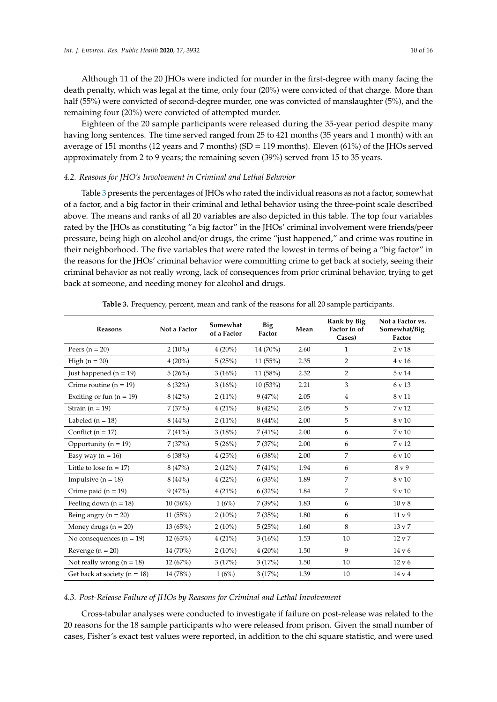Although 11 of the 20 JHOs were indicted for murder in the first-degree with many facing the death penalty, which was legal at the time, only four (20%) were convicted of that charge. More than half (55%) were convicted of second-degree murder, one was convicted of manslaughter (5%), and the remaining four (20%) were convicted of attempted murder.

Eighteen of the 20 sample participants were released during the 35-year period despite many having long sentences. The time served ranged from 25 to 421 months (35 years and 1 month) with an average of 151 months (12 years and 7 months) (SD = 119 months). Eleven (61%) of the JHOs served approximately from 2 to 9 years; the remaining seven (39%) served from 15 to 35 years.

# *4.2. Reasons for JHO's Involvement in Criminal and Lethal Behavior*

Table [3](#page-9-0) presents the percentages of JHOs who rated the individual reasons as not a factor, somewhat of a factor, and a big factor in their criminal and lethal behavior using the three-point scale described above. The means and ranks of all 20 variables are also depicted in this table. The top four variables rated by the JHOs as constituting "a big factor" in the JHOs' criminal involvement were friends/peer pressure, being high on alcohol and/or drugs, the crime "just happened," and crime was routine in their neighborhood. The five variables that were rated the lowest in terms of being a "big factor" in the reasons for the JHOs' criminal behavior were committing crime to get back at society, seeing their criminal behavior as not really wrong, lack of consequences from prior criminal behavior, trying to get back at someone, and needing money for alcohol and drugs.

<span id="page-9-0"></span>

| <b>Reasons</b>                   | Not a Factor | Somewhat<br>of a Factor | Big<br>Factor | Mean | Rank by Big<br>Factor (n of<br>Cases) | Not a Factor vs.<br>Somewhat/Big<br>Factor |
|----------------------------------|--------------|-------------------------|---------------|------|---------------------------------------|--------------------------------------------|
| Peers $(n = 20)$                 | $2(10\%)$    | $4(20\%)$               | 14 (70%)      | 2.60 | 1                                     | 2 v 18                                     |
| High $(n = 20)$                  | $4(20\%)$    | 5(25%)                  | 11(55%)       | 2.35 | $\overline{2}$                        | 4 v 16                                     |
| Just happened $(n = 19)$         | 5(26%)       | 3(16%)                  | 11(58%)       | 2.32 | $\overline{2}$                        | 5 v 14                                     |
| Crime routine $(n = 19)$         | 6(32%)       | 3(16%)                  | 10(53%)       | 2.21 | 3                                     | 6 v 13                                     |
| Exciting or fun $(n = 19)$       | 8(42%)       | $2(11\%)$               | 9(47%)        | 2.05 | $\overline{4}$                        | 8 v 11                                     |
| Strain $(n = 19)$                | 7(37%)       | 4(21%)                  | 8(42%)        | 2.05 | 5                                     | 7 v 12                                     |
| Labeled $(n = 18)$               | 8(44%)       | $2(11\%)$               | 8(44%)        | 2.00 | 5                                     | 8 v 10                                     |
| Conflict ( $n = 17$ )            | 7(41%)       | 3(18%)                  | 7(41%)        | 2.00 | 6                                     | 7 v 10                                     |
| Opportunity ( $n = 19$ )         | 7(37%)       | 5(26%)                  | 7(37%)        | 2.00 | 6                                     | 7 v 12                                     |
| Easy way $(n = 16)$              | 6(38%)       | 4(25%)                  | 6(38%)        | 2.00 | $\overline{7}$                        | 6 v 10                                     |
| Little to lose $(n = 17)$        | 8(47%)       | 2(12%)                  | 7(41%)        | 1.94 | 6                                     | 8y9                                        |
| Impulsive $(n = 18)$             | 8(44%)       | 4(22%)                  | 6(33%)        | 1.89 | 7                                     | 8 v 10                                     |
| Crime paid $(n = 19)$            | 9(47%)       | 4(21%)                  | 6(32%)        | 1.84 | 7                                     | $9 \text{ v } 10$                          |
| Feeling down $(n = 18)$          | 10(56%)      | 1(6%)                   | 7 (39%)       | 1.83 | 6                                     | 10 v 8                                     |
| Being angry ( $n = 20$ )         | 11(55%)      | $2(10\%)$               | 7(35%)        | 1.80 | 6                                     | 11 <sub>v</sub> 9                          |
| Money drugs $(n = 20)$           | 13(65%)      | $2(10\%)$               | 5(25%)        | 1.60 | 8                                     | 13 v 7                                     |
| No consequences $(n = 19)$       | 12(63%)      | 4(21%)                  | 3(16%)        | 1.53 | 10                                    | 12 v 7                                     |
| Revenge $(n = 20)$               | 14 (70%)     | $2(10\%)$               | $4(20\%)$     | 1.50 | 9                                     | 14 v 6                                     |
| Not really wrong $(n = 18)$      | 12(67%)      | 3(17%)                  | 3(17%)        | 1.50 | 10                                    | 12 v 6                                     |
| Get back at society ( $n = 18$ ) | 14 (78%)     | 1(6%)                   | 3(17%)        | 1.39 | 10                                    | 14 v 4                                     |

**Table 3.** Frequency, percent, mean and rank of the reasons for all 20 sample participants.

#### *4.3. Post-Release Failure of JHOs by Reasons for Criminal and Lethal Involvement*

Cross-tabular analyses were conducted to investigate if failure on post-release was related to the 20 reasons for the 18 sample participants who were released from prison. Given the small number of cases, Fisher's exact test values were reported, in addition to the chi square statistic, and were used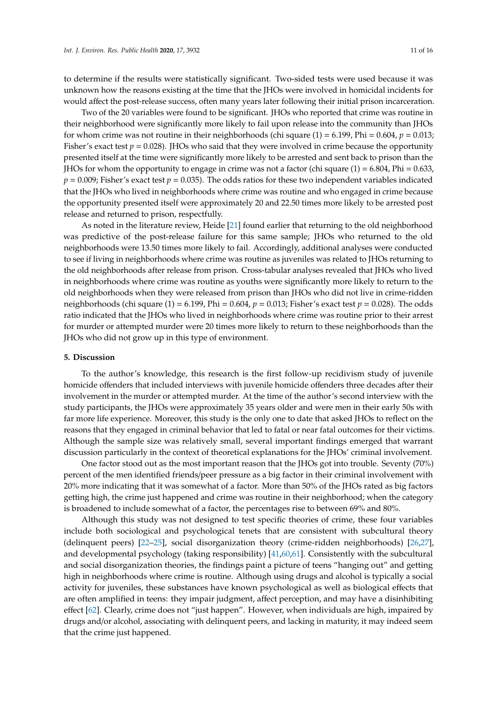to determine if the results were statistically significant. Two-sided tests were used because it was unknown how the reasons existing at the time that the JHOs were involved in homicidal incidents for would affect the post-release success, often many years later following their initial prison incarceration.

Two of the 20 variables were found to be significant. JHOs who reported that crime was routine in their neighborhood were significantly more likely to fail upon release into the community than JHOs for whom crime was not routine in their neighborhoods (chi square  $(1) = 6.199$ , Phi = 0.604,  $p = 0.013$ ; Fisher's exact test  $p = 0.028$ ). JHOs who said that they were involved in crime because the opportunity presented itself at the time were significantly more likely to be arrested and sent back to prison than the JHOs for whom the opportunity to engage in crime was not a factor (chi square  $(1) = 6.804$ , Phi = 0.633,  $p = 0.009$ ; Fisher's exact test  $p = 0.035$ ). The odds ratios for these two independent variables indicated that the JHOs who lived in neighborhoods where crime was routine and who engaged in crime because the opportunity presented itself were approximately 20 and 22.50 times more likely to be arrested post release and returned to prison, respectfully.

As noted in the literature review, Heide [\[21\]](#page-14-0) found earlier that returning to the old neighborhood was predictive of the post-release failure for this same sample; JHOs who returned to the old neighborhoods were 13.50 times more likely to fail. Accordingly, additional analyses were conducted to see if living in neighborhoods where crime was routine as juveniles was related to JHOs returning to the old neighborhoods after release from prison. Cross-tabular analyses revealed that JHOs who lived in neighborhoods where crime was routine as youths were significantly more likely to return to the old neighborhoods when they were released from prison than JHOs who did not live in crime-ridden neighborhoods (chi square (1) = 6.199, Phi =  $0.604$ ,  $p = 0.013$ ; Fisher's exact test  $p = 0.028$ ). The odds ratio indicated that the JHOs who lived in neighborhoods where crime was routine prior to their arrest for murder or attempted murder were 20 times more likely to return to these neighborhoods than the JHOs who did not grow up in this type of environment.

#### **5. Discussion**

To the author's knowledge, this research is the first follow-up recidivism study of juvenile homicide offenders that included interviews with juvenile homicide offenders three decades after their involvement in the murder or attempted murder. At the time of the author's second interview with the study participants, the JHOs were approximately 35 years older and were men in their early 50s with far more life experience. Moreover, this study is the only one to date that asked JHOs to reflect on the reasons that they engaged in criminal behavior that led to fatal or near fatal outcomes for their victims. Although the sample size was relatively small, several important findings emerged that warrant discussion particularly in the context of theoretical explanations for the JHOs' criminal involvement.

One factor stood out as the most important reason that the JHOs got into trouble. Seventy (70%) percent of the men identified friends/peer pressure as a big factor in their criminal involvement with 20% more indicating that it was somewhat of a factor. More than 50% of the JHOs rated as big factors getting high, the crime just happened and crime was routine in their neighborhood; when the category is broadened to include somewhat of a factor, the percentages rise to between 69% and 80%.

Although this study was not designed to test specific theories of crime, these four variables include both sociological and psychological tenets that are consistent with subcultural theory (delinquent peers) [\[22](#page-14-1)[–25\]](#page-14-2), social disorganization theory (crime-ridden neighborhoods) [\[26,](#page-14-3)[27\]](#page-14-4), and developmental psychology (taking responsibility) [\[41,](#page-14-15)[60](#page-15-5)[,61\]](#page-15-6). Consistently with the subcultural and social disorganization theories, the findings paint a picture of teens "hanging out" and getting high in neighborhoods where crime is routine. Although using drugs and alcohol is typically a social activity for juveniles, these substances have known psychological as well as biological effects that are often amplified in teens: they impair judgment, affect perception, and may have a disinhibiting effect [\[62\]](#page-15-7). Clearly, crime does not "just happen". However, when individuals are high, impaired by drugs and/or alcohol, associating with delinquent peers, and lacking in maturity, it may indeed seem that the crime just happened.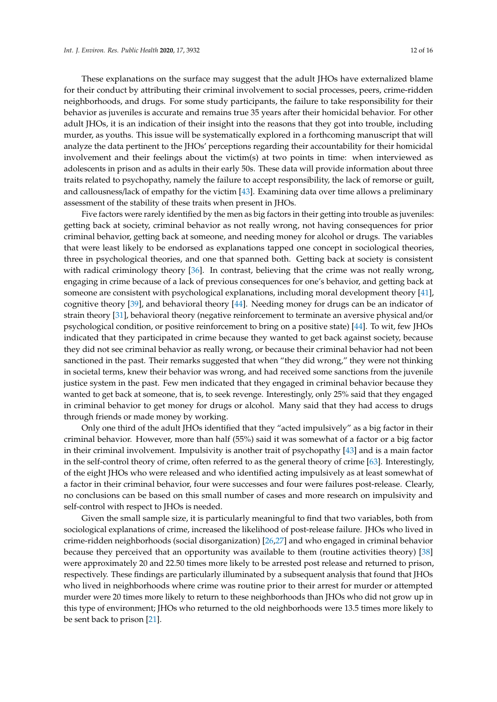These explanations on the surface may suggest that the adult JHOs have externalized blame for their conduct by attributing their criminal involvement to social processes, peers, crime-ridden neighborhoods, and drugs. For some study participants, the failure to take responsibility for their behavior as juveniles is accurate and remains true 35 years after their homicidal behavior. For other adult JHOs, it is an indication of their insight into the reasons that they got into trouble, including murder, as youths. This issue will be systematically explored in a forthcoming manuscript that will analyze the data pertinent to the JHOs' perceptions regarding their accountability for their homicidal involvement and their feelings about the victim(s) at two points in time: when interviewed as adolescents in prison and as adults in their early 50s. These data will provide information about three traits related to psychopathy, namely the failure to accept responsibility, the lack of remorse or guilt, and callousness/lack of empathy for the victim [\[43\]](#page-14-17). Examining data over time allows a preliminary assessment of the stability of these traits when present in JHOs.

Five factors were rarely identified by the men as big factors in their getting into trouble as juveniles: getting back at society, criminal behavior as not really wrong, not having consequences for prior criminal behavior, getting back at someone, and needing money for alcohol or drugs. The variables that were least likely to be endorsed as explanations tapped one concept in sociological theories, three in psychological theories, and one that spanned both. Getting back at society is consistent with radical criminology theory [\[36\]](#page-14-10). In contrast, believing that the crime was not really wrong, engaging in crime because of a lack of previous consequences for one's behavior, and getting back at someone are consistent with psychological explanations, including moral development theory [\[41\]](#page-14-15), cognitive theory [\[39\]](#page-14-13), and behavioral theory [\[44\]](#page-14-18). Needing money for drugs can be an indicator of strain theory [\[31\]](#page-14-28), behavioral theory (negative reinforcement to terminate an aversive physical and/or psychological condition, or positive reinforcement to bring on a positive state) [\[44\]](#page-14-18). To wit, few JHOs indicated that they participated in crime because they wanted to get back against society, because they did not see criminal behavior as really wrong, or because their criminal behavior had not been sanctioned in the past. Their remarks suggested that when "they did wrong," they were not thinking in societal terms, knew their behavior was wrong, and had received some sanctions from the juvenile justice system in the past. Few men indicated that they engaged in criminal behavior because they wanted to get back at someone, that is, to seek revenge. Interestingly, only 25% said that they engaged in criminal behavior to get money for drugs or alcohol. Many said that they had access to drugs through friends or made money by working.

Only one third of the adult JHOs identified that they "acted impulsively" as a big factor in their criminal behavior. However, more than half (55%) said it was somewhat of a factor or a big factor in their criminal involvement. Impulsivity is another trait of psychopathy [\[43\]](#page-14-17) and is a main factor in the self-control theory of crime, often referred to as the general theory of crime [\[63\]](#page-15-8). Interestingly, of the eight JHOs who were released and who identified acting impulsively as at least somewhat of a factor in their criminal behavior, four were successes and four were failures post-release. Clearly, no conclusions can be based on this small number of cases and more research on impulsivity and self-control with respect to JHOs is needed.

Given the small sample size, it is particularly meaningful to find that two variables, both from sociological explanations of crime, increased the likelihood of post-release failure. JHOs who lived in crime-ridden neighborhoods (social disorganization) [\[26,](#page-14-3)[27\]](#page-14-4) and who engaged in criminal behavior because they perceived that an opportunity was available to them (routine activities theory) [\[38\]](#page-14-12) were approximately 20 and 22.50 times more likely to be arrested post release and returned to prison, respectively. These findings are particularly illuminated by a subsequent analysis that found that JHOs who lived in neighborhoods where crime was routine prior to their arrest for murder or attempted murder were 20 times more likely to return to these neighborhoods than JHOs who did not grow up in this type of environment; JHOs who returned to the old neighborhoods were 13.5 times more likely to be sent back to prison [\[21\]](#page-14-0).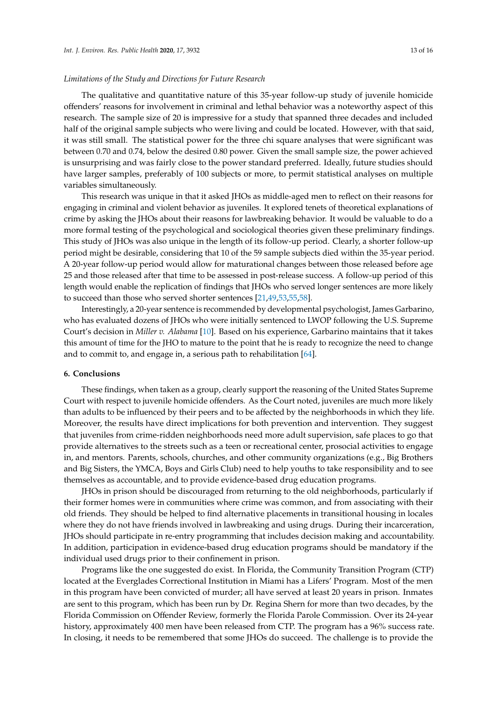# *Limitations of the Study and Directions for Future Research*

The qualitative and quantitative nature of this 35-year follow-up study of juvenile homicide offenders' reasons for involvement in criminal and lethal behavior was a noteworthy aspect of this research. The sample size of 20 is impressive for a study that spanned three decades and included half of the original sample subjects who were living and could be located. However, with that said, it was still small. The statistical power for the three chi square analyses that were significant was between 0.70 and 0.74, below the desired 0.80 power. Given the small sample size, the power achieved is unsurprising and was fairly close to the power standard preferred. Ideally, future studies should have larger samples, preferably of 100 subjects or more, to permit statistical analyses on multiple variables simultaneously.

This research was unique in that it asked JHOs as middle-aged men to reflect on their reasons for engaging in criminal and violent behavior as juveniles. It explored tenets of theoretical explanations of crime by asking the JHOs about their reasons for lawbreaking behavior. It would be valuable to do a more formal testing of the psychological and sociological theories given these preliminary findings. This study of JHOs was also unique in the length of its follow-up period. Clearly, a shorter follow-up period might be desirable, considering that 10 of the 59 sample subjects died within the 35-year period. A 20-year follow-up period would allow for maturational changes between those released before age 25 and those released after that time to be assessed in post-release success. A follow-up period of this length would enable the replication of findings that JHOs who served longer sentences are more likely to succeed than those who served shorter sentences [\[21](#page-14-0)[,49,](#page-14-22)[53,](#page-14-26)[55,](#page-15-0)[58\]](#page-15-3).

Interestingly, a 20-year sentence is recommended by developmental psychologist, James Garbarino, who has evaluated dozens of JHOs who were initially sentenced to LWOP following the U.S. Supreme Court's decision in *Miller v. Alabama* [\[10\]](#page-13-9). Based on his experience, Garbarino maintains that it takes this amount of time for the JHO to mature to the point that he is ready to recognize the need to change and to commit to, and engage in, a serious path to rehabilitation [\[64\]](#page-15-9).

## **6. Conclusions**

These findings, when taken as a group, clearly support the reasoning of the United States Supreme Court with respect to juvenile homicide offenders. As the Court noted, juveniles are much more likely than adults to be influenced by their peers and to be affected by the neighborhoods in which they life. Moreover, the results have direct implications for both prevention and intervention. They suggest that juveniles from crime-ridden neighborhoods need more adult supervision, safe places to go that provide alternatives to the streets such as a teen or recreational center, prosocial activities to engage in, and mentors. Parents, schools, churches, and other community organizations (e.g., Big Brothers and Big Sisters, the YMCA, Boys and Girls Club) need to help youths to take responsibility and to see themselves as accountable, and to provide evidence-based drug education programs.

JHOs in prison should be discouraged from returning to the old neighborhoods, particularly if their former homes were in communities where crime was common, and from associating with their old friends. They should be helped to find alternative placements in transitional housing in locales where they do not have friends involved in lawbreaking and using drugs. During their incarceration, JHOs should participate in re-entry programming that includes decision making and accountability. In addition, participation in evidence-based drug education programs should be mandatory if the individual used drugs prior to their confinement in prison.

Programs like the one suggested do exist. In Florida, the Community Transition Program (CTP) located at the Everglades Correctional Institution in Miami has a Lifers' Program. Most of the men in this program have been convicted of murder; all have served at least 20 years in prison. Inmates are sent to this program, which has been run by Dr. Regina Shern for more than two decades, by the Florida Commission on Offender Review, formerly the Florida Parole Commission. Over its 24-year history, approximately 400 men have been released from CTP. The program has a 96% success rate. In closing, it needs to be remembered that some JHOs do succeed. The challenge is to provide the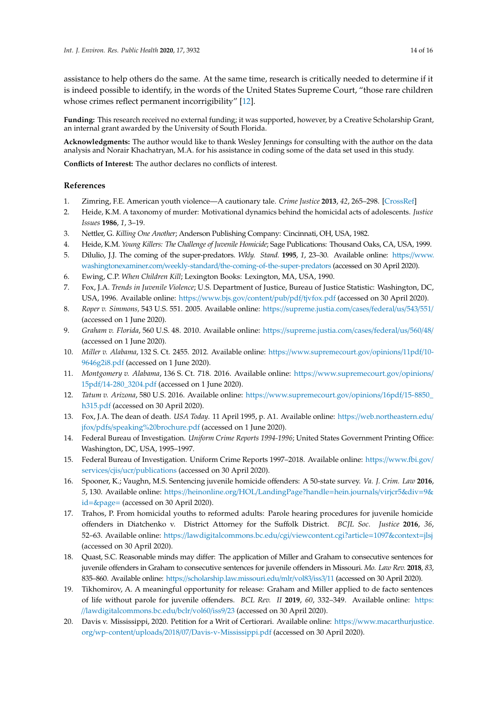assistance to help others do the same. At the same time, research is critically needed to determine if it is indeed possible to identify, in the words of the United States Supreme Court, "those rare children whose crimes reflect permanent incorrigibility" [\[12\]](#page-13-11).

**Funding:** This research received no external funding; it was supported, however, by a Creative Scholarship Grant, an internal grant awarded by the University of South Florida.

**Acknowledgments:** The author would like to thank Wesley Jennings for consulting with the author on the data analysis and Norair Khachatryan, M.A. for his assistance in coding some of the data set used in this study.

**Conflicts of Interest:** The author declares no conflicts of interest.

# **References**

- <span id="page-13-0"></span>1. Zimring, F.E. American youth violence—A cautionary tale. *Crime Justice* **2013**, *42*, 265–298. [\[CrossRef\]](http://dx.doi.org/10.1086/670399)
- <span id="page-13-1"></span>2. Heide, K.M. A taxonomy of murder: Motivational dynamics behind the homicidal acts of adolescents. *Justice Issues* **1986**, *1*, 3–19.
- <span id="page-13-2"></span>3. Nettler, G. *Killing One Another*; Anderson Publishing Company: Cincinnati, OH, USA, 1982.
- <span id="page-13-3"></span>4. Heide, K.M. *Young Killers: The Challenge of Juvenile Homicide*; Sage Publications: Thousand Oaks, CA, USA, 1999.
- <span id="page-13-4"></span>5. Dilulio, J.J. The coming of the super-predators. *Wkly. Stand.* **1995**, *1*, 23–30. Available online: https://[www.](https://www.washingtonexaminer.com/weekly-standard/the-coming-of-the-super-predators) washingtonexaminer.com/weekly-standard/[the-coming-of-the-super-predators](https://www.washingtonexaminer.com/weekly-standard/the-coming-of-the-super-predators) (accessed on 30 April 2020).
- <span id="page-13-5"></span>6. Ewing, C.P. *When Children Kill*; Lexington Books: Lexington, MA, USA, 1990.
- <span id="page-13-6"></span>7. Fox, J.A. *Trends in Juvenile Violence*; U.S. Department of Justice, Bureau of Justice Statistic: Washington, DC, USA, 1996. Available online: https://[www.bjs.gov](https://www.bjs.gov/content/pub/pdf/tjvfox.pdf)/content/pub/pdf/tjvfox.pdf (accessed on 30 April 2020).
- <span id="page-13-7"></span>8. *Roper v. Simmons,* 543 U.S. 551. 2005. Available online: https://[supreme.justia.com](https://supreme.justia.com/cases/federal/us/543/551/)/cases/federal/us/543/551/ (accessed on 1 June 2020).
- <span id="page-13-8"></span>9. *Graham v. Florida*, 560 U.S. 48. 2010. Available online: https://[supreme.justia.com](https://supreme.justia.com/cases/federal/us/560/48/)/cases/federal/us/560/48/ (accessed on 1 June 2020).
- <span id="page-13-9"></span>10. *Miller v. Alabama*, 132 S. Ct. 2455. 2012. Available online: https://[www.supremecourt.gov](https://www.supremecourt.gov/opinions/11pdf/10-9646g2i8.pdf)/opinions/11pdf/10- [9646g2i8.pdf](https://www.supremecourt.gov/opinions/11pdf/10-9646g2i8.pdf) (accessed on 1 June 2020).
- <span id="page-13-10"></span>11. *Montgomery v. Alabama*, 136 S. Ct. 718. 2016. Available online: https://[www.supremecourt.gov](https://www.supremecourt.gov/opinions/15pdf/14-280_3204.pdf)/opinions/ 15pdf/[14-280\\_3204.pdf](https://www.supremecourt.gov/opinions/15pdf/14-280_3204.pdf) (accessed on 1 June 2020).
- <span id="page-13-11"></span>12. *Tatum v. Arizona*, 580 U.S. 2016. Available online: https://[www.supremecourt.gov](https://www.supremecourt.gov/opinions/16pdf/15-8850_h315.pdf)/opinions/16pdf/15-8850\_ [h315.pdf](https://www.supremecourt.gov/opinions/16pdf/15-8850_h315.pdf) (accessed on 30 April 2020).
- <span id="page-13-12"></span>13. Fox, J.A. The dean of death. *USA Today*. 11 April 1995, p. A1. Available online: https://[web.northeastern.edu](https://web.northeastern.edu/jfox/pdfs/speaking%20brochure.pdf)/ jfox/pdfs/[speaking%20brochure.pdf](https://web.northeastern.edu/jfox/pdfs/speaking%20brochure.pdf) (accessed on 1 June 2020).
- <span id="page-13-13"></span>14. Federal Bureau of Investigation. *Uniform Crime Reports 1994-1996*; United States Government Printing Office: Washington, DC, USA, 1995–1997.
- <span id="page-13-14"></span>15. Federal Bureau of Investigation. Uniform Crime Reports 1997–2018. Available online: https://[www.fbi.gov](https://www.fbi.gov/services/cjis/ucr/publications)/ services/cjis/ucr/[publications](https://www.fbi.gov/services/cjis/ucr/publications) (accessed on 30 April 2020).
- <span id="page-13-15"></span>16. Spooner, K.; Vaughn, M.S. Sentencing juvenile homicide offenders: A 50-state survey. *Va. J. Crim. Law* **2016**, *5*, 130. Available online: https://heinonline.org/HOL/[LandingPage?handle](https://heinonline.org/HOL/LandingPage?handle=hein.journals/virjcr5&div=9&id=&page=)=hein.journals/virjcr5&div=9& id=[&page](https://heinonline.org/HOL/LandingPage?handle=hein.journals/virjcr5&div=9&id=&page=)= (accessed on 30 April 2020).
- <span id="page-13-16"></span>17. Trahos, P. From homicidal youths to reformed adults: Parole hearing procedures for juvenile homicide offenders in Diatchenko v. District Attorney for the Suffolk District. *BCJL Soc. Justice* **2016**, *36*, 52–63. Available online: https://[lawdigitalcommons.bc.edu](https://lawdigitalcommons.bc.edu/cgi/viewcontent.cgi?article=1097&context=jlsj)/cgi/viewcontent.cgi?article=1097&context=jlsj (accessed on 30 April 2020).
- <span id="page-13-17"></span>18. Quast, S.C. Reasonable minds may differ: The application of Miller and Graham to consecutive sentences for juvenile offenders in Graham to consecutive sentences for juvenile offenders in Missouri. *Mo. Law Rev.* **2018**, *83*, 835–860. Available online: https://[scholarship.law.missouri.edu](https://scholarship.law.missouri.edu/mlr/vol83/iss3/11)/mlr/vol83/iss3/11 (accessed on 30 April 2020).
- <span id="page-13-18"></span>19. Tikhomirov, A. A meaningful opportunity for release: Graham and Miller applied to de facto sentences of life without parole for juvenile offenders. *BCL Rev. II* **2019**, *60*, 332–349. Available online: [https:](https://lawdigitalcommons.bc.edu/bclr/vol60/iss9/23) //[lawdigitalcommons.bc.edu](https://lawdigitalcommons.bc.edu/bclr/vol60/iss9/23)/bclr/vol60/iss9/23 (accessed on 30 April 2020).
- <span id="page-13-19"></span>20. Davis v. Mississippi, 2020. Petition for a Writ of Certiorari. Available online: https://[www.macarthurjustice.](https://www.macarthurjustice.org/wp-content/uploads/2018/07/Davis-v-Mississippi.pdf) org/wp-content/uploads/2018/07/[Davis-v-Mississippi.pdf](https://www.macarthurjustice.org/wp-content/uploads/2018/07/Davis-v-Mississippi.pdf) (accessed on 30 April 2020).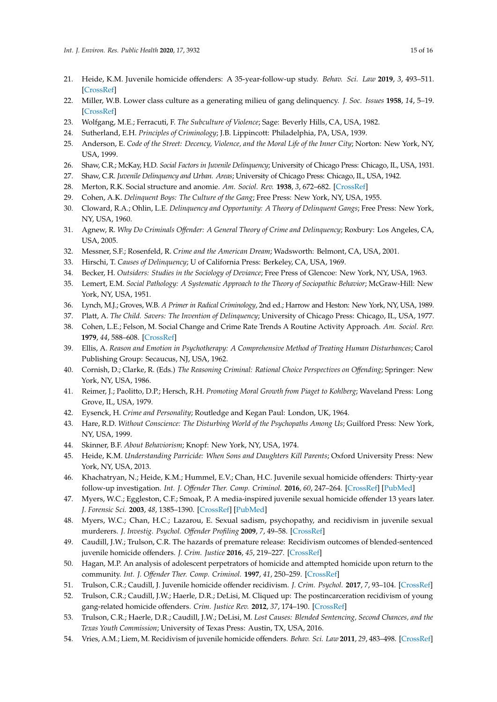- <span id="page-14-0"></span>21. Heide, K.M. Juvenile homicide offenders: A 35-year-follow-up study. *Behav. Sci. Law* **2019**, *3*, 493–511. [\[CrossRef\]](http://dx.doi.org/10.1002/bsl.2426)
- <span id="page-14-1"></span>22. Miller, W.B. Lower class culture as a generating milieu of gang delinquency. *J. Soc. Issues* **1958**, *14*, 5–19. [\[CrossRef\]](http://dx.doi.org/10.1111/j.1540-4560.1958.tb01413.x)
- 23. Wolfgang, M.E.; Ferracuti, F. *The Subculture of Violence*; Sage: Beverly Hills, CA, USA, 1982.
- 24. Sutherland, E.H. *Principles of Criminology*; J.B. Lippincott: Philadelphia, PA, USA, 1939.
- <span id="page-14-2"></span>25. Anderson, E. *Code of the Street: Decency, Violence, and the Moral Life of the Inner City*; Norton: New York, NY, USA, 1999.
- <span id="page-14-3"></span>26. Shaw, C.R.; McKay, H.D. *Social Factors in Juvenile Delinquency*; University of Chicago Press: Chicago, IL, USA, 1931.
- <span id="page-14-4"></span>27. Shaw, C.R. *Juvenile Delinquency and Urban. Areas*; University of Chicago Press: Chicago, IL, USA, 1942.
- <span id="page-14-5"></span>28. Merton, R.K. Social structure and anomie. *Am. Sociol. Rev.* **1938**, *3*, 672–682. [\[CrossRef\]](http://dx.doi.org/10.2307/2084686)
- 29. Cohen, A.K. *Delinquent Boys: The Culture of the Gang*; Free Press: New York, NY, USA, 1955.
- 30. Cloward, R.A.; Ohlin, L.E. *Delinquency and Opportunity: A Theory of Delinquent Gangs*; Free Press: New York, NY, USA, 1960.
- <span id="page-14-28"></span>31. Agnew, R. *Why Do Criminals O*ff*ender: A General Theory of Crime and Delinquency*; Roxbury: Los Angeles, CA, USA, 2005.
- <span id="page-14-6"></span>32. Messner, S.F.; Rosenfeld, R. *Crime and the American Dream*; Wadsworth: Belmont, CA, USA, 2001.
- <span id="page-14-7"></span>33. Hirschi, T. *Causes of Delinquency*; U of California Press: Berkeley, CA, USA, 1969.
- <span id="page-14-8"></span>34. Becker, H. *Outsiders: Studies in the Sociology of Deviance*; Free Press of Glencoe: New York, NY, USA, 1963.
- <span id="page-14-9"></span>35. Lemert, E.M. *Social Pathology: A Systematic Approach to the Theory of Sociopathic Behavior*; McGraw-Hill: New York, NY, USA, 1951.
- <span id="page-14-10"></span>36. Lynch, M.J.; Groves, W.B. *A Primer in Radical Criminology*, 2nd ed.; Harrow and Heston: New York, NY, USA, 1989.
- <span id="page-14-11"></span>37. Platt, A. *The Child. Savers: The Invention of Delinquency*; University of Chicago Press: Chicago, IL, USA, 1977.
- <span id="page-14-12"></span>38. Cohen, L.E.; Felson, M. Social Change and Crime Rate Trends A Routine Activity Approach. *Am. Sociol. Rev.* **1979**, *44*, 588–608. [\[CrossRef\]](http://dx.doi.org/10.2307/2094589)
- <span id="page-14-13"></span>39. Ellis, A. *Reason and Emotion in Psychotherapy: A Comprehensive Method of Treating Human Disturbances*; Carol Publishing Group: Secaucus, NJ, USA, 1962.
- <span id="page-14-14"></span>40. Cornish, D.; Clarke, R. (Eds.) *The Reasoning Criminal: Rational Choice Perspectives on O*ff*ending*; Springer: New York, NY, USA, 1986.
- <span id="page-14-15"></span>41. Reimer, J.; Paolitto, D.P.; Hersch, R.H. *Promoting Moral Growth from Piaget to Kohlberg*; Waveland Press: Long Grove, IL, USA, 1979.
- <span id="page-14-16"></span>42. Eysenck, H. *Crime and Personality*; Routledge and Kegan Paul: London, UK, 1964.
- <span id="page-14-17"></span>43. Hare, R.D. *Without Conscience: The Disturbing World of the Psychopaths Among Us*; Guilford Press: New York, NY, USA, 1999.
- <span id="page-14-18"></span>44. Skinner, B.F. *About Behaviorism*; Knopf: New York, NY, USA, 1974.
- <span id="page-14-19"></span>45. Heide, K.M. *Understanding Parricide: When Sons and Daughters Kill Parents*; Oxford University Press: New York, NY, USA, 2013.
- <span id="page-14-20"></span>46. Khachatryan, N.; Heide, K.M.; Hummel, E.V.; Chan, H.C. Juvenile sexual homicide offenders: Thirty-year follow-up investigation. *Int. J. O*ff*ender Ther. Comp. Criminol.* **2016**, *60*, 247–264. [\[CrossRef\]](http://dx.doi.org/10.1177/0306624X14552062) [\[PubMed\]](http://www.ncbi.nlm.nih.gov/pubmed/25245207)
- 47. Myers, W.C.; Eggleston, C.F.; Smoak, P. A media-inspired juvenile sexual homicide offender 13 years later. *J. Forensic Sci.* **2003**, *48*, 1385–1390. [\[CrossRef\]](http://dx.doi.org/10.1520/JFS2002417) [\[PubMed\]](http://www.ncbi.nlm.nih.gov/pubmed/14640290)
- <span id="page-14-21"></span>48. Myers, W.C.; Chan, H.C.; Lazarou, E. Sexual sadism, psychopathy, and recidivism in juvenile sexual murderers. *J. Investig. Psychol. O*ff*ender Profiling* **2009**, *7*, 49–58. [\[CrossRef\]](http://dx.doi.org/10.1002/jip.113)
- <span id="page-14-22"></span>49. Caudill, J.W.; Trulson, C.R. The hazards of premature release: Recidivism outcomes of blended-sentenced juvenile homicide offenders. *J. Crim. Justice* **2016**, *45*, 219–227. [\[CrossRef\]](http://dx.doi.org/10.1016/j.jcrimjus.2016.05.009)
- <span id="page-14-24"></span>50. Hagan, M.P. An analysis of adolescent perpetrators of homicide and attempted homicide upon return to the community. *Int. J. O*ff*ender Ther. Comp. Criminol.* **1997**, *41*, 250–259. [\[CrossRef\]](http://dx.doi.org/10.1177/0306624X97413004)
- <span id="page-14-27"></span>51. Trulson, C.R.; Caudill, J. Juvenile homicide offender recidivism. *J. Crim. Psychol.* **2017**, *7*, 93–104. [\[CrossRef\]](http://dx.doi.org/10.1108/JCP-11-2016-0038)
- <span id="page-14-25"></span>52. Trulson, C.R.; Caudill, J.W.; Haerle, D.R.; DeLisi, M. Cliqued up: The postincarceration recidivism of young gang-related homicide offenders. *Crim. Justice Rev.* **2012**, *37*, 174–190. [\[CrossRef\]](http://dx.doi.org/10.1177/0734016811434531)
- <span id="page-14-26"></span>53. Trulson, C.R.; Haerle, D.R.; Caudill, J.W.; DeLisi, M. *Lost Causes: Blended Sentencing, Second Chances, and the Texas Youth Commission*; University of Texas Press: Austin, TX, USA, 2016.
- <span id="page-14-23"></span>54. Vries, A.M.; Liem, M. Recidivism of juvenile homicide offenders. *Behav. Sci. Law* **2011**, *29*, 483–498. [\[CrossRef\]](http://dx.doi.org/10.1002/bsl.984)